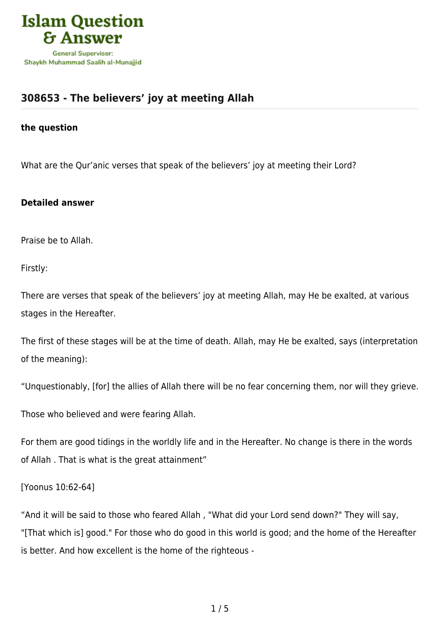

# **[308653 - The believers' joy at meeting Allah](https://islamqa.com/en/answers/308653/the-believers-joy-at-meeting-allah)**

### **the question**

What are the Qur'anic verses that speak of the believers' joy at meeting their Lord?

## **Detailed answer**

Praise be to Allah.

Firstly:

There are verses that speak of the believers' joy at meeting Allah, may He be exalted, at various stages in the Hereafter.

The first of these stages will be at the time of death. Allah, may He be exalted, says (interpretation of the meaning):

"Unquestionably, [for] the allies of Allah there will be no fear concerning them, nor will they grieve.

Those who believed and were fearing Allah.

For them are good tidings in the worldly life and in the Hereafter. No change is there in the words of Allah . That is what is the great attainment"

## [Yoonus 10:62-64]

"And it will be said to those who feared Allah , "What did your Lord send down?" They will say, "[That which is] good." For those who do good in this world is good; and the home of the Hereafter is better. And how excellent is the home of the righteous -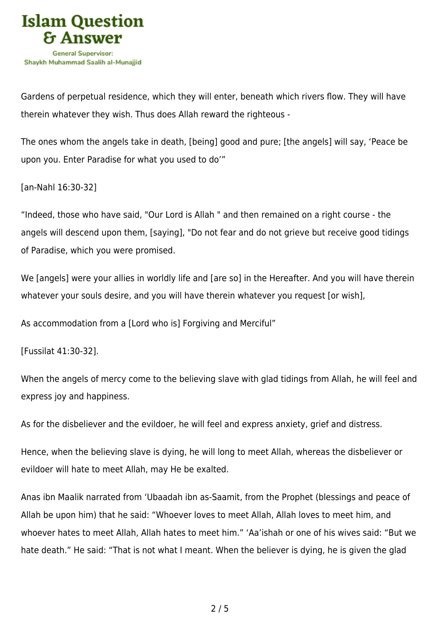

Gardens of perpetual residence, which they will enter, beneath which rivers flow. They will have therein whatever they wish. Thus does Allah reward the righteous -

The ones whom the angels take in death, [being] good and pure; [the angels] will say, 'Peace be upon you. Enter Paradise for what you used to do'"

[an-Nahl 16:30-32]

"Indeed, those who have said, "Our Lord is Allah " and then remained on a right course - the angels will descend upon them, [saying], "Do not fear and do not grieve but receive good tidings of Paradise, which you were promised.

We [angels] were your allies in worldly life and [are so] in the Hereafter. And you will have therein whatever your souls desire, and you will have therein whatever you request [or wish],

As accommodation from a [Lord who is] Forgiving and Merciful"

[Fussilat 41:30-32].

When the angels of mercy come to the believing slave with glad tidings from Allah, he will feel and express joy and happiness.

As for the disbeliever and the evildoer, he will feel and express anxiety, grief and distress.

Hence, when the believing slave is dying, he will long to meet Allah, whereas the disbeliever or evildoer will hate to meet Allah, may He be exalted.

Anas ibn Maalik narrated from 'Ubaadah ibn as-Saamit, from the Prophet (blessings and peace of Allah be upon him) that he said: "Whoever loves to meet Allah, Allah loves to meet him, and whoever hates to meet Allah, Allah hates to meet him." 'Aa'ishah or one of his wives said: "But we hate death." He said: "That is not what I meant. When the believer is dying, he is given the glad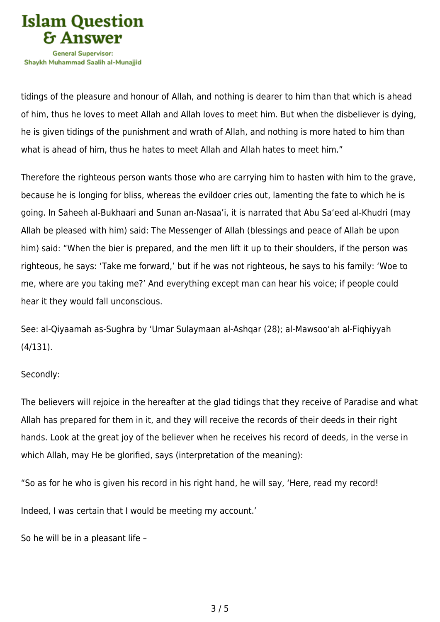

tidings of the pleasure and honour of Allah, and nothing is dearer to him than that which is ahead of him, thus he loves to meet Allah and Allah loves to meet him. But when the disbeliever is dying, he is given tidings of the punishment and wrath of Allah, and nothing is more hated to him than what is ahead of him, thus he hates to meet Allah and Allah hates to meet him."

Therefore the righteous person wants those who are carrying him to hasten with him to the grave, because he is longing for bliss, whereas the evildoer cries out, lamenting the fate to which he is going. In Saheeh al-Bukhaari and Sunan an-Nasaa'i, it is narrated that Abu Sa'eed al-Khudri (may Allah be pleased with him) said: The Messenger of Allah (blessings and peace of Allah be upon him) said: "When the bier is prepared, and the men lift it up to their shoulders, if the person was righteous, he says: 'Take me forward,' but if he was not righteous, he says to his family: 'Woe to me, where are you taking me?' And everything except man can hear his voice; if people could hear it they would fall unconscious.

See: al-Qiyaamah as-Sughra by 'Umar Sulaymaan al-Ashqar (28); al-Mawsoo'ah al-Fiqhiyyah (4/131).

## Secondly:

The believers will rejoice in the hereafter at the glad tidings that they receive of Paradise and what Allah has prepared for them in it, and they will receive the records of their deeds in their right hands. Look at the great joy of the believer when he receives his record of deeds, in the verse in which Allah, may He be glorified, says (interpretation of the meaning):

"So as for he who is given his record in his right hand, he will say, 'Here, read my record!

Indeed, I was certain that I would be meeting my account.'

So he will be in a pleasant life –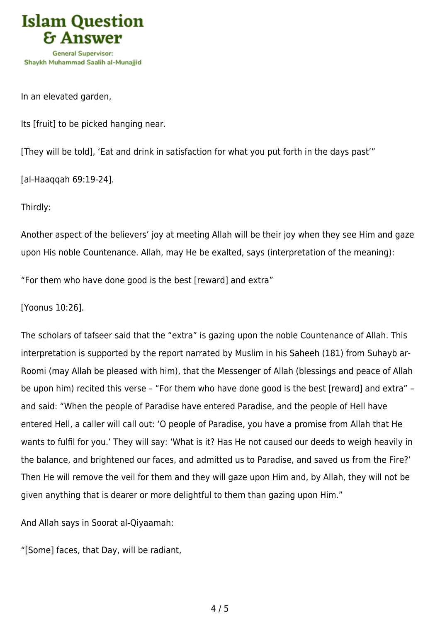

In an elevated garden,

Its [fruit] to be picked hanging near.

[They will be told], 'Eat and drink in satisfaction for what you put forth in the days past'"

[al-Haaqqah 69:19-24].

Thirdly:

Another aspect of the believers' joy at meeting Allah will be their joy when they see Him and gaze upon His noble Countenance. Allah, may He be exalted, says (interpretation of the meaning):

"For them who have done good is the best [reward] and extra"

[Yoonus 10:26].

The scholars of tafseer said that the "extra" is gazing upon the noble Countenance of Allah. This interpretation is supported by the report narrated by Muslim in his Saheeh (181) from Suhayb ar-Roomi (may Allah be pleased with him), that the Messenger of Allah (blessings and peace of Allah be upon him) recited this verse – "For them who have done good is the best [reward] and extra" – and said: "When the people of Paradise have entered Paradise, and the people of Hell have entered Hell, a caller will call out: 'O people of Paradise, you have a promise from Allah that He wants to fulfil for you.' They will say: 'What is it? Has He not caused our deeds to weigh heavily in the balance, and brightened our faces, and admitted us to Paradise, and saved us from the Fire?' Then He will remove the veil for them and they will gaze upon Him and, by Allah, they will not be given anything that is dearer or more delightful to them than gazing upon Him."

And Allah says in Soorat al-Qiyaamah:

"[Some] faces, that Day, will be radiant,